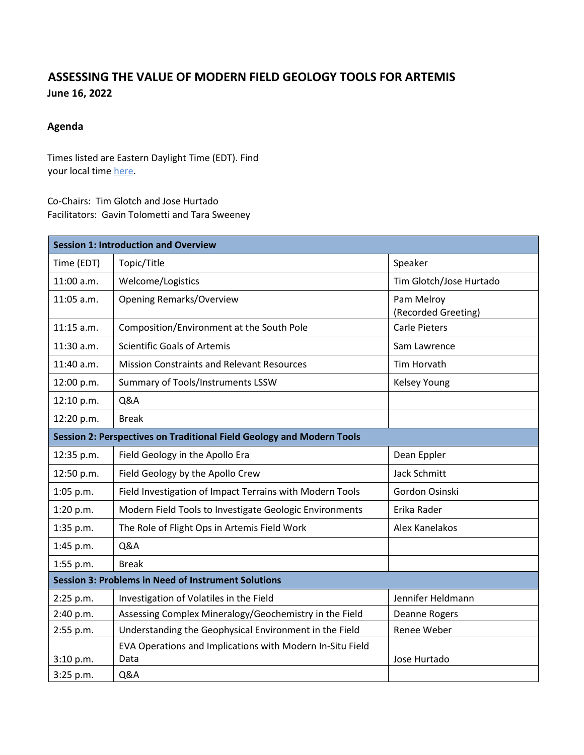## **ASSESSING THE VALUE OF MODERN FIELD GEOLOGY TOOLS FOR ARTEMIS June 16, 2022**

## **Agenda**

Times listed are Eastern Daylight Time (EDT). Find your local time [here.](https://www.timeanddate.com/worldclock/converter.html?iso=20220616T150000&p1=tz_et)

Co-Chairs: Tim Glotch and Jose Hurtado Facilitators: Gavin Tolometti and Tara Sweeney

| <b>Session 1: Introduction and Overview</b>                           |                                                                   |                                   |  |
|-----------------------------------------------------------------------|-------------------------------------------------------------------|-----------------------------------|--|
| Time (EDT)                                                            | Topic/Title                                                       | Speaker                           |  |
| 11:00 a.m.                                                            | Welcome/Logistics                                                 | Tim Glotch/Jose Hurtado           |  |
| 11:05 a.m.                                                            | <b>Opening Remarks/Overview</b>                                   | Pam Melroy<br>(Recorded Greeting) |  |
| $11:15$ a.m.                                                          | Composition/Environment at the South Pole                         | <b>Carle Pieters</b>              |  |
| 11:30 a.m.                                                            | <b>Scientific Goals of Artemis</b>                                | Sam Lawrence                      |  |
| 11:40 a.m.                                                            | <b>Mission Constraints and Relevant Resources</b>                 | Tim Horvath                       |  |
| 12:00 p.m.                                                            | Summary of Tools/Instruments LSSW                                 | <b>Kelsey Young</b>               |  |
| 12:10 p.m.                                                            | <b>Q&amp;A</b>                                                    |                                   |  |
| 12:20 p.m.                                                            | <b>Break</b>                                                      |                                   |  |
| Session 2: Perspectives on Traditional Field Geology and Modern Tools |                                                                   |                                   |  |
| 12:35 p.m.                                                            | Field Geology in the Apollo Era                                   | Dean Eppler                       |  |
| 12:50 p.m.                                                            | Field Geology by the Apollo Crew                                  | <b>Jack Schmitt</b>               |  |
| 1:05 p.m.                                                             | Field Investigation of Impact Terrains with Modern Tools          | Gordon Osinski                    |  |
| 1:20 p.m.                                                             | Modern Field Tools to Investigate Geologic Environments           | Erika Rader                       |  |
| 1:35 p.m.                                                             | The Role of Flight Ops in Artemis Field Work                      | Alex Kanelakos                    |  |
| 1:45 p.m.                                                             | Q&A                                                               |                                   |  |
| 1:55 p.m.                                                             | <b>Break</b>                                                      |                                   |  |
| <b>Session 3: Problems in Need of Instrument Solutions</b>            |                                                                   |                                   |  |
| 2:25 p.m.                                                             | Investigation of Volatiles in the Field                           | Jennifer Heldmann                 |  |
| 2:40 p.m.                                                             | Assessing Complex Mineralogy/Geochemistry in the Field            | Deanne Rogers                     |  |
| 2:55 p.m.                                                             | Understanding the Geophysical Environment in the Field            | Renee Weber                       |  |
| 3:10 p.m.                                                             | EVA Operations and Implications with Modern In-Situ Field<br>Data | Jose Hurtado                      |  |
| 3:25 p.m.                                                             | Q&A                                                               |                                   |  |